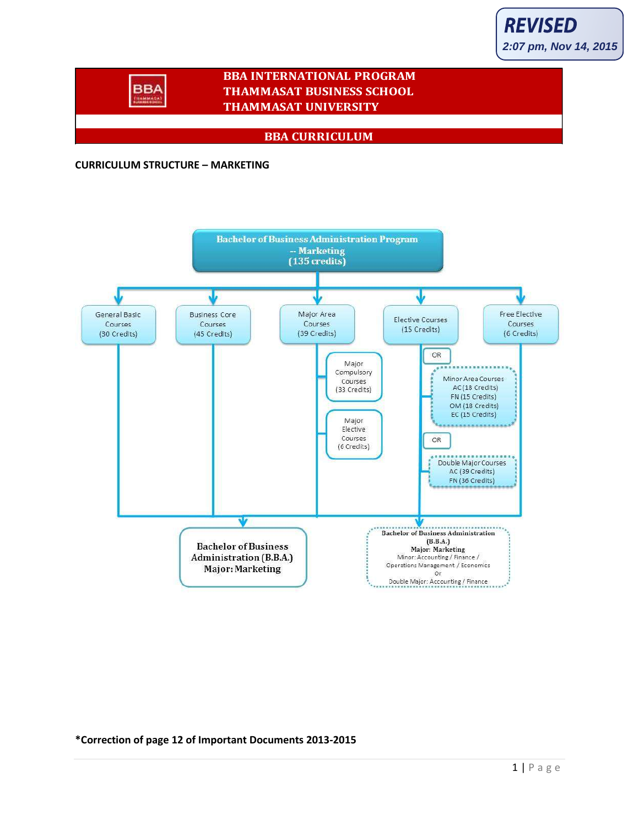# **BBA INTERNATIONAL PROGRAM THAMMASAT BUSINESS SCHOOL THAMMASAT UNIVERSITY**

# **BBA CURRICULUM**

#### **CURRICULUM STRUCTURE – MARKETING**

**BBA TRAMMAT** 



**\*Correction of page 12 of Important Documents 2013-2015**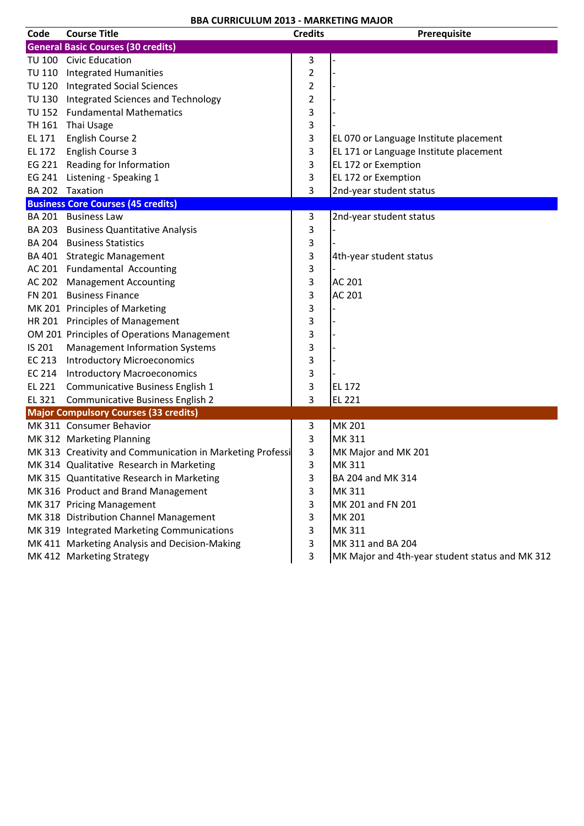| Code   | <b>Course Title</b>                                       | <b>Credits</b>          | Prerequisite                                    |
|--------|-----------------------------------------------------------|-------------------------|-------------------------------------------------|
|        | <b>General Basic Courses (30 credits)</b>                 |                         |                                                 |
|        | TU 100 Civic Education                                    | 3                       |                                                 |
|        | TU 110 Integrated Humanities                              | $\overline{2}$          |                                                 |
|        | TU 120 Integrated Social Sciences                         | 2                       |                                                 |
|        | TU 130 Integrated Sciences and Technology                 | $\overline{\mathbf{c}}$ |                                                 |
|        | TU 152 Fundamental Mathematics                            | 3                       |                                                 |
| TH 161 | Thai Usage                                                | 3                       |                                                 |
| EL 171 | English Course 2                                          | 3                       | EL 070 or Language Institute placement          |
| EL 172 | English Course 3                                          | 3                       | EL 171 or Language Institute placement          |
|        | EG 221 Reading for Information                            | 3                       | EL 172 or Exemption                             |
|        | EG 241 Listening - Speaking 1                             | 3                       | EL 172 or Exemption                             |
|        | BA 202 Taxation                                           | 3                       | 2nd-year student status                         |
|        | <b>Business Core Courses (45 credits)</b>                 |                         |                                                 |
|        | BA 201 Business Law                                       | 3                       | 2nd-year student status                         |
|        | BA 203 Business Quantitative Analysis                     | 3                       |                                                 |
|        | <b>BA 204 Business Statistics</b>                         | 3                       |                                                 |
|        | BA 401 Strategic Management                               | 3                       | 4th-year student status                         |
|        | AC 201 Fundamental Accounting                             | 3                       |                                                 |
|        | AC 202 Management Accounting                              | 3                       | AC 201                                          |
|        | FN 201 Business Finance                                   | 3                       | AC 201                                          |
|        | MK 201 Principles of Marketing                            | 3                       |                                                 |
|        | HR 201 Principles of Management                           | 3                       |                                                 |
|        | OM 201 Principles of Operations Management                | 3                       |                                                 |
| IS 201 | <b>Management Information Systems</b>                     | 3                       |                                                 |
|        | EC 213 Introductory Microeconomics                        | 3                       |                                                 |
|        | EC 214 Introductory Macroeconomics                        | 3                       |                                                 |
|        | EL 221 Communicative Business English 1                   | 3                       | EL 172                                          |
|        | EL 321 Communicative Business English 2                   | 3                       | EL 221                                          |
|        | <b>Major Compulsory Courses (33 credits)</b>              |                         |                                                 |
|        | MK 311 Consumer Behavior                                  | 3                       | MK 201                                          |
|        | MK 312 Marketing Planning                                 | 3                       | MK 311                                          |
|        | MK 313 Creativity and Communication in Marketing Professi | 3                       | MK Major and MK 201                             |
|        | MK 314 Qualitative Research in Marketing                  | 3                       | MK 311                                          |
|        | MK 315 Quantitative Research in Marketing                 | 3                       | BA 204 and MK 314                               |
|        | MK 316 Product and Brand Management                       | 3                       | MK 311                                          |
|        | MK 317 Pricing Management                                 | 3                       | MK 201 and FN 201                               |
|        | MK 318 Distribution Channel Management                    | 3                       | <b>MK 201</b>                                   |
|        | MK 319 Integrated Marketing Communications                | 3                       | MK 311                                          |
|        | MK 411 Marketing Analysis and Decision-Making             | 3                       | MK 311 and BA 204                               |
|        | MK 412 Marketing Strategy                                 | 3                       | MK Major and 4th-year student status and MK 312 |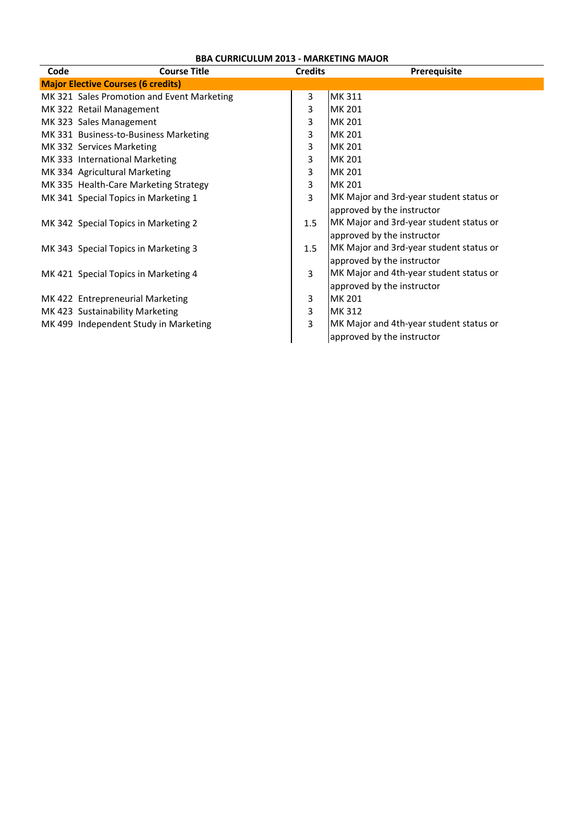| Code | <b>Course Title</b>                        | <b>Credits</b> | Prerequisite                            |
|------|--------------------------------------------|----------------|-----------------------------------------|
|      | <b>Major Elective Courses (6 credits)</b>  |                |                                         |
|      | MK 321 Sales Promotion and Event Marketing | 3              | MK 311                                  |
|      | MK 322 Retail Management                   | 3              | <b>MK 201</b>                           |
|      | MK 323 Sales Management                    | 3              | MK 201                                  |
|      | MK 331 Business-to-Business Marketing      | 3              | MK 201                                  |
|      | MK 332 Services Marketing                  | 3              | <b>MK 201</b>                           |
|      | MK 333 International Marketing             | 3              | MK 201                                  |
|      | MK 334 Agricultural Marketing              | 3              | MK 201                                  |
|      | MK 335 Health-Care Marketing Strategy      | 3              | <b>MK 201</b>                           |
|      | MK 341 Special Topics in Marketing 1       | 3              | MK Major and 3rd-year student status or |
|      |                                            |                | approved by the instructor              |
|      | MK 342 Special Topics in Marketing 2       | 1.5            | MK Major and 3rd-year student status or |
|      |                                            |                | approved by the instructor              |
|      | MK 343 Special Topics in Marketing 3       | 1.5            | MK Major and 3rd-year student status or |
|      |                                            |                | approved by the instructor              |
|      | MK 421 Special Topics in Marketing 4       | $\overline{3}$ | MK Major and 4th-year student status or |
|      |                                            |                | approved by the instructor              |
|      | MK 422 Entrepreneurial Marketing           | 3              | MK 201                                  |
|      | MK 423 Sustainability Marketing            | 3              | MK 312                                  |
|      | MK 499 Independent Study in Marketing      | 3              | MK Major and 4th-year student status or |
|      |                                            |                | approved by the instructor              |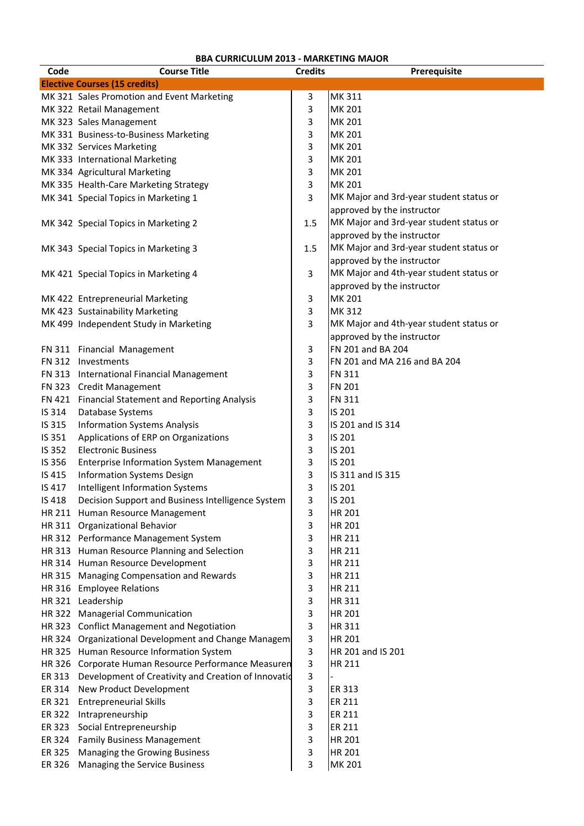| Code   | <b>Course Title</b>                                  | <b>Credits</b> | Prerequisite                            |
|--------|------------------------------------------------------|----------------|-----------------------------------------|
|        | <b>Elective Courses (15 credits)</b>                 |                |                                         |
|        | MK 321 Sales Promotion and Event Marketing           | 3              | MK 311                                  |
|        | MK 322 Retail Management                             | 3              | <b>MK 201</b>                           |
|        | MK 323 Sales Management                              | 3              | <b>MK 201</b>                           |
|        | MK 331 Business-to-Business Marketing                | 3              | MK 201                                  |
|        | MK 332 Services Marketing                            | 3              | MK 201                                  |
|        | MK 333 International Marketing                       | 3              | MK 201                                  |
|        | MK 334 Agricultural Marketing                        | 3              | MK 201                                  |
|        | MK 335 Health-Care Marketing Strategy                | 3              | <b>MK 201</b>                           |
|        | MK 341 Special Topics in Marketing 1                 | 3              | MK Major and 3rd-year student status or |
|        |                                                      |                | approved by the instructor              |
|        | MK 342 Special Topics in Marketing 2                 | 1.5            | MK Major and 3rd-year student status or |
|        |                                                      |                | approved by the instructor              |
|        | MK 343 Special Topics in Marketing 3                 | 1.5            | MK Major and 3rd-year student status or |
|        |                                                      |                | approved by the instructor              |
|        | MK 421 Special Topics in Marketing 4                 | 3              | MK Major and 4th-year student status or |
|        |                                                      |                | approved by the instructor              |
|        | MK 422 Entrepreneurial Marketing                     | 3              | <b>MK 201</b>                           |
|        | MK 423 Sustainability Marketing                      | 3              | MK 312                                  |
|        | MK 499 Independent Study in Marketing                | 3              | MK Major and 4th-year student status or |
|        |                                                      |                | approved by the instructor              |
|        | FN 311 Financial Management                          | 3              | FN 201 and BA 204                       |
|        | FN 312 Investments                                   | 3              | FN 201 and MA 216 and BA 204            |
|        | FN 313 International Financial Management            | 3              | <b>FN 311</b>                           |
|        | FN 323 Credit Management                             | 3              | <b>FN 201</b>                           |
|        | FN 421 Financial Statement and Reporting Analysis    | 3              | <b>FN 311</b>                           |
| IS 314 | Database Systems                                     | 3              | IS 201                                  |
| IS 315 | <b>Information Systems Analysis</b>                  | 3              | IS 201 and IS 314                       |
| IS 351 | Applications of ERP on Organizations                 | 3              | IS 201                                  |
| IS 352 | <b>Electronic Business</b>                           | 3              | IS 201                                  |
| IS 356 | <b>Enterprise Information System Management</b>      | 3              | IS 201                                  |
| IS 415 | <b>Information Systems Design</b>                    | 3              | IS 311 and IS 315                       |
| IS 417 | Intelligent Information Systems                      | 3              | IS 201                                  |
| IS 418 | Decision Support and Business Intelligence System    | 3              | IS 201                                  |
|        | HR 211 Human Resource Management                     | 3              | HR 201                                  |
|        | HR 311 Organizational Behavior                       | 3              | HR 201                                  |
|        | HR 312 Performance Management System                 | 3              | HR 211                                  |
|        | HR 313 Human Resource Planning and Selection         | 3              | HR 211                                  |
|        | HR 314 Human Resource Development                    | 3              | HR 211                                  |
|        | HR 315 Managing Compensation and Rewards             | 3              | HR 211                                  |
|        | HR 316 Employee Relations                            | 3              | HR 211                                  |
|        | HR 321 Leadership                                    | 3              | <b>HR311</b>                            |
|        | HR 322 Managerial Communication                      | 3              | <b>HR 201</b>                           |
|        | HR 323 Conflict Management and Negotiation           | 3              | HR 311                                  |
|        |                                                      | 3              | <b>HR 201</b>                           |
|        | HR 324 Organizational Development and Change Managem |                | HR 201 and IS 201                       |
|        | HR 325 Human Resource Information System             | 3              |                                         |
|        | HR 326 Corporate Human Resource Performance Measuren | 3              | <b>HR 211</b>                           |
| ER 313 | Development of Creativity and Creation of Innovatio  | 3              |                                         |
| ER 314 | New Product Development                              | 3              | ER 313                                  |
| ER 321 | <b>Entrepreneurial Skills</b>                        | 3              | ER 211                                  |
| ER 322 | Intrapreneurship                                     | 3              | <b>ER 211</b>                           |
| ER 323 | Social Entrepreneurship                              | 3              | ER 211                                  |
|        | ER 324 Family Business Management                    | 3              | HR 201                                  |
| ER 325 | Managing the Growing Business                        | 3              | HR 201                                  |
| ER 326 | Managing the Service Business                        | 3              | MK 201                                  |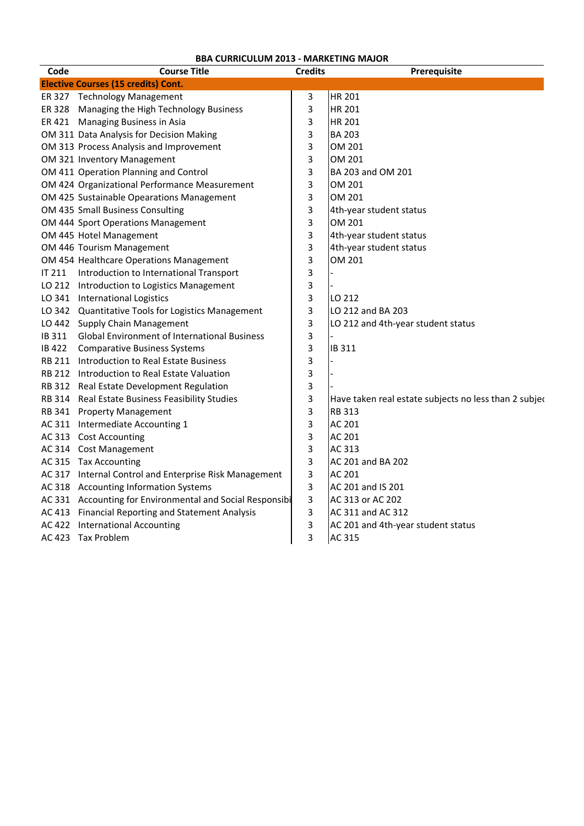| Code         | <b>Course Title</b>                                       | <b>Credits</b> | Prerequisite                                           |
|--------------|-----------------------------------------------------------|----------------|--------------------------------------------------------|
|              | <b>Elective Courses (15 credits) Cont.</b>                |                |                                                        |
|              | ER 327 Technology Management                              | 3              | <b>HR 201</b>                                          |
|              | ER 328 Managing the High Technology Business              | 3              | <b>HR 201</b>                                          |
|              | ER 421 Managing Business in Asia                          | 3              | <b>HR 201</b>                                          |
|              | OM 311 Data Analysis for Decision Making                  | 3              | <b>BA 203</b>                                          |
|              | OM 313 Process Analysis and Improvement                   | 3              | OM 201                                                 |
|              | OM 321 Inventory Management                               | 3              | OM 201                                                 |
|              | OM 411 Operation Planning and Control                     | 3              | BA 203 and OM 201                                      |
|              | OM 424 Organizational Performance Measurement             | 3              | OM 201                                                 |
|              | OM 425 Sustainable Opearations Management                 | 3              | OM 201                                                 |
|              | OM 435 Small Business Consulting                          | 3              | 4th-year student status                                |
|              | OM 444 Sport Operations Management                        | 3              | OM 201                                                 |
|              | OM 445 Hotel Management                                   | 3              | 4th-year student status                                |
|              | OM 446 Tourism Management                                 | 3              | 4th-year student status                                |
|              | OM 454 Healthcare Operations Management                   | 3              | OM 201                                                 |
| IT 211       | Introduction to International Transport                   | 3              |                                                        |
|              | LO 212 Introduction to Logistics Management               | 3              |                                                        |
|              | LO 341 International Logistics                            | 3              | LO 212                                                 |
|              | LO 342 Quantitative Tools for Logistics Management        | 3              | LO 212 and BA 203                                      |
|              | LO 442 Supply Chain Management                            | 3              | LO 212 and 4th-year student status                     |
| IB 311       | <b>Global Environment of International Business</b>       | 3              |                                                        |
| <b>IB422</b> | <b>Comparative Business Systems</b>                       | 3              | IB 311                                                 |
|              | RB 211 Introduction to Real Estate Business               | 3              |                                                        |
|              | RB 212 Introduction to Real Estate Valuation              | 3              |                                                        |
|              | RB 312 Real Estate Development Regulation                 | 3              |                                                        |
|              | RB 314 Real Estate Business Feasibility Studies           | 3              | Have taken real estate subjects no less than 2 subject |
|              | RB 341 Property Management                                | 3              | <b>RB 313</b>                                          |
|              | AC 311 Intermediate Accounting 1                          | 3              | <b>AC 201</b>                                          |
|              | AC 313 Cost Accounting                                    | 3              | <b>AC 201</b>                                          |
|              | AC 314 Cost Management                                    | 3              | AC 313                                                 |
|              | AC 315 Tax Accounting                                     | 3              | AC 201 and BA 202                                      |
|              | AC 317 Internal Control and Enterprise Risk Management    | 3              | AC 201                                                 |
|              | AC 318 Accounting Information Systems                     | 3              | AC 201 and IS 201                                      |
|              | AC 331 Accounting for Environmental and Social Responsibi | 3              | AC 313 or AC 202                                       |
|              | AC 413 Financial Reporting and Statement Analysis         | 3              | AC 311 and AC 312                                      |
|              | AC 422 International Accounting                           | 3              | AC 201 and 4th-year student status                     |
|              | AC 423 Tax Problem                                        | 3              | AC 315                                                 |